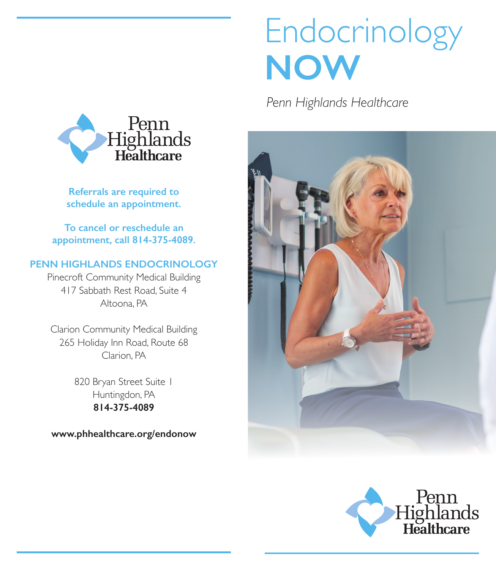# Endocrinology **NOW**

*Penn Highlands Healthcare*







**Referrals are required to schedule an appointment.**

**To cancel or reschedule an appointment, call 814-375-4089.**

#### **PENN HIGHLANDS ENDOCRINOLOGY**

Pinecroft Community Medical Building 417 Sabbath Rest Road, Suite 4 Altoona, PA

Clarion Community Medical Building 265 Holiday Inn Road, Route 68 Clarion, PA

> 820 Bryan Street Suite 1 Huntingdon, PA **814-375-4089**

**www.phhealthcare.org/endonow**